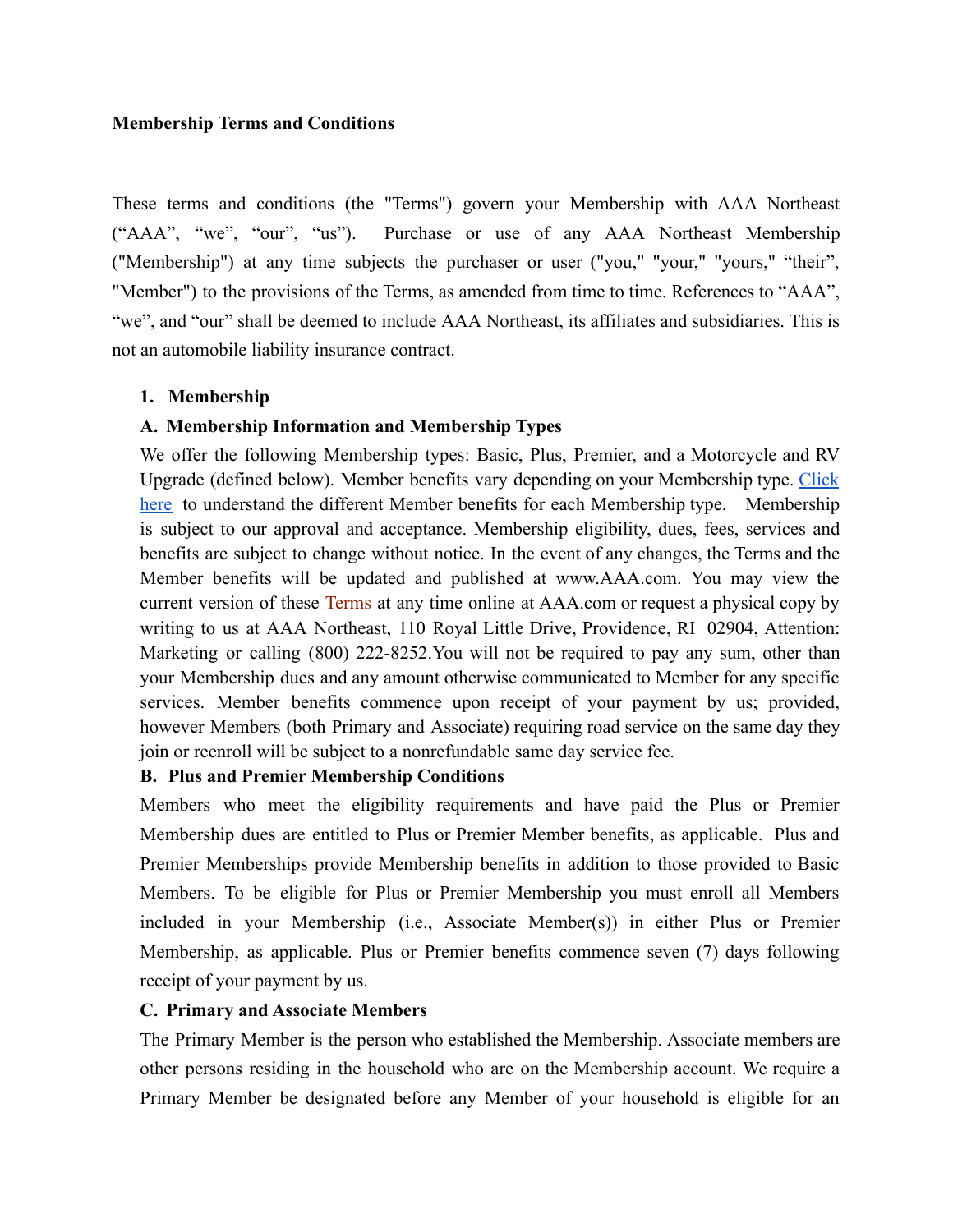### **Membership Terms and Conditions**

These terms and conditions (the "Terms") govern your Membership with AAA Northeast ("AAA", "we", "our", "us"). Purchase or use of any AAA Northeast Membership ("Membership") at any time subjects the purchaser or user ("you," "your," "yours," "their", "Member") to the provisions of the Terms, as amended from time to time. References to "AAA", "we", and "our" shall be deemed to include AAA Northeast, its affiliates and subsidiaries. This is not an automobile liability insurance contract.

## **1. Membership**

## **A. Membership Information and Membership Types**

We offer the following Membership types: Basic, Plus, Premier, and a Motorcycle and RV Upgrade (defined below). Member benefits vary depending on your Membership type. [Click](https://northeast.aaa.com/membership/benefits/membership-types.html) [here](https://northeast.aaa.com/membership/benefits/membership-types.html) to understand the different Member benefits for each Membership type. Membership is subject to our approval and acceptance. Membership eligibility, dues, fees, services and benefits are subject to change without notice. In the event of any changes, the Terms and the Member benefits will be updated and published at www.AAA.com. You may view the current version of these [Terms](http://www.southernnewengland.aaa.com/membership/membership-agreement) at any time online at AAA.com or request a physical copy by writing to us at AAA Northeast, 110 Royal Little Drive, Providence, RI 02904, Attention: Marketing or calling (800) 222-8252.You will not be required to pay any sum, other than your Membership dues and any amount otherwise communicated to Member for any specific services. Member benefits commence upon receipt of your payment by us; provided, however Members (both Primary and Associate) requiring road service on the same day they join or reenroll will be subject to a nonrefundable same day service fee.

### **B. Plus and Premier Membership Conditions**

Members who meet the eligibility requirements and have paid the Plus or Premier Membership dues are entitled to Plus or Premier Member benefits, as applicable. Plus and Premier Memberships provide Membership benefits in addition to those provided to Basic Members. To be eligible for Plus or Premier Membership you must enroll all Members included in your Membership (i.e., Associate Member(s)) in either Plus or Premier Membership, as applicable. Plus or Premier benefits commence seven (7) days following receipt of your payment by us.

## **C. Primary and Associate Members**

The Primary Member is the person who established the Membership. Associate members are other persons residing in the household who are on the Membership account. We require a Primary Member be designated before any Member of your household is eligible for an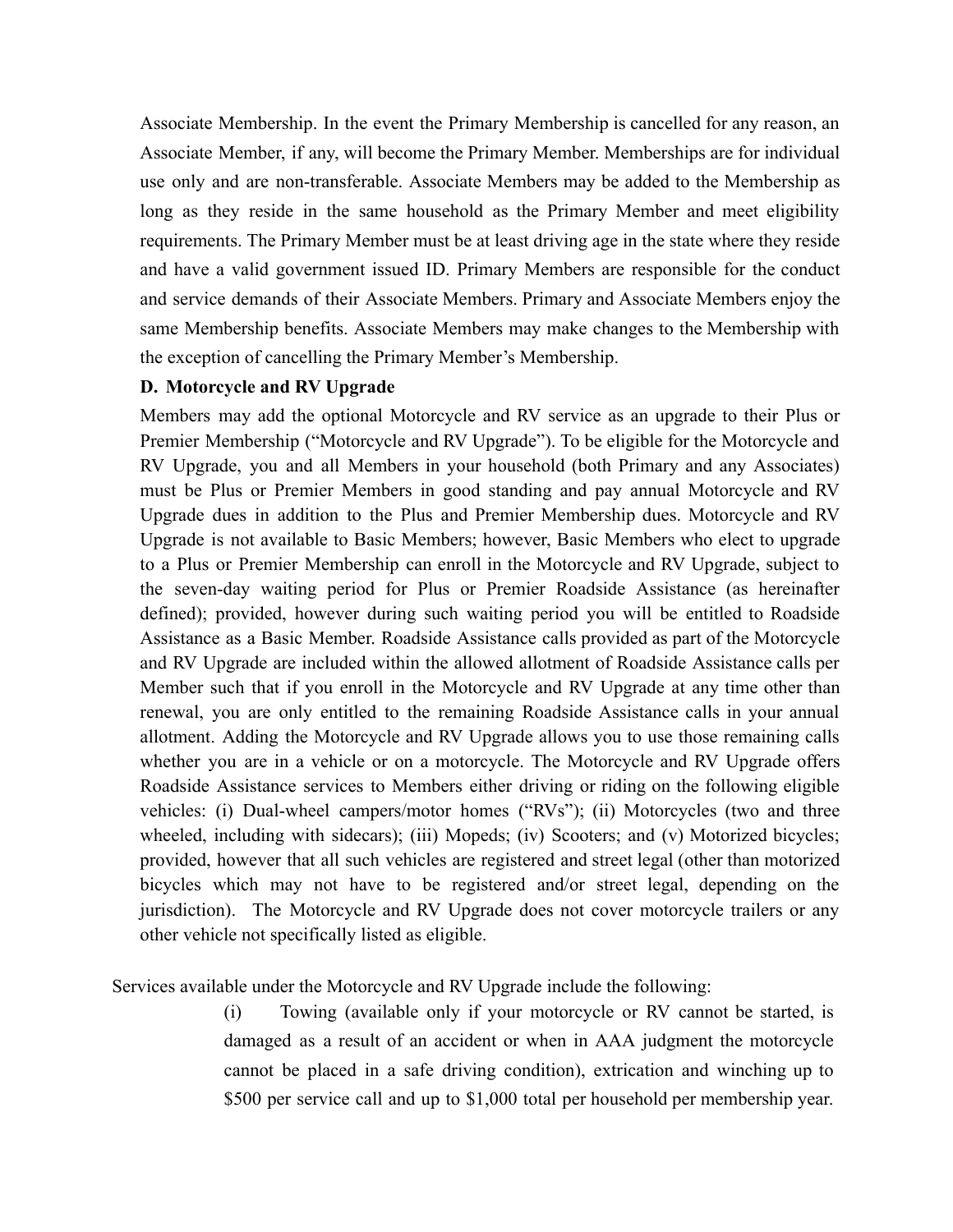Associate Membership. In the event the Primary Membership is cancelled for any reason, an Associate Member, if any, will become the Primary Member. Memberships are for individual use only and are non-transferable. Associate Members may be added to the Membership as long as they reside in the same household as the Primary Member and meet eligibility requirements. The Primary Member must be at least driving age in the state where they reside and have a valid government issued ID. Primary Members are responsible for the conduct and service demands of their Associate Members. Primary and Associate Members enjoy the same Membership benefits. Associate Members may make changes to the Membership with the exception of cancelling the Primary Member's Membership.

### **D. Motorcycle and RV Upgrade**

Members may add the optional Motorcycle and RV service as an upgrade to their Plus or Premier Membership ("Motorcycle and RV Upgrade"). To be eligible for the Motorcycle and RV Upgrade, you and all Members in your household (both Primary and any Associates) must be Plus or Premier Members in good standing and pay annual Motorcycle and RV Upgrade dues in addition to the Plus and Premier Membership dues. Motorcycle and RV Upgrade is not available to Basic Members; however, Basic Members who elect to upgrade to a Plus or Premier Membership can enroll in the Motorcycle and RV Upgrade, subject to the seven-day waiting period for Plus or Premier Roadside Assistance (as hereinafter defined); provided, however during such waiting period you will be entitled to Roadside Assistance as a Basic Member. Roadside Assistance calls provided as part of the Motorcycle and RV Upgrade are included within the allowed allotment of Roadside Assistance calls per Member such that if you enroll in the Motorcycle and RV Upgrade at any time other than renewal, you are only entitled to the remaining Roadside Assistance calls in your annual allotment. Adding the Motorcycle and RV Upgrade allows you to use those remaining calls whether you are in a vehicle or on a motorcycle. The Motorcycle and RV Upgrade offers Roadside Assistance services to Members either driving or riding on the following eligible vehicles: (i) Dual-wheel campers/motor homes ("RVs"); (ii) Motorcycles (two and three wheeled, including with sidecars); (iii) Mopeds; (iv) Scooters; and (v) Motorized bicycles; provided, however that all such vehicles are registered and street legal (other than motorized bicycles which may not have to be registered and/or street legal, depending on the jurisdiction). The Motorcycle and RV Upgrade does not cover motorcycle trailers or any other vehicle not specifically listed as eligible.

Services available under the Motorcycle and RV Upgrade include the following:

(i) Towing (available only if your motorcycle or RV cannot be started, is damaged as a result of an accident or when in AAA judgment the motorcycle cannot be placed in a safe driving condition), extrication and winching up to \$500 per service call and up to \$1,000 total per household per membership year.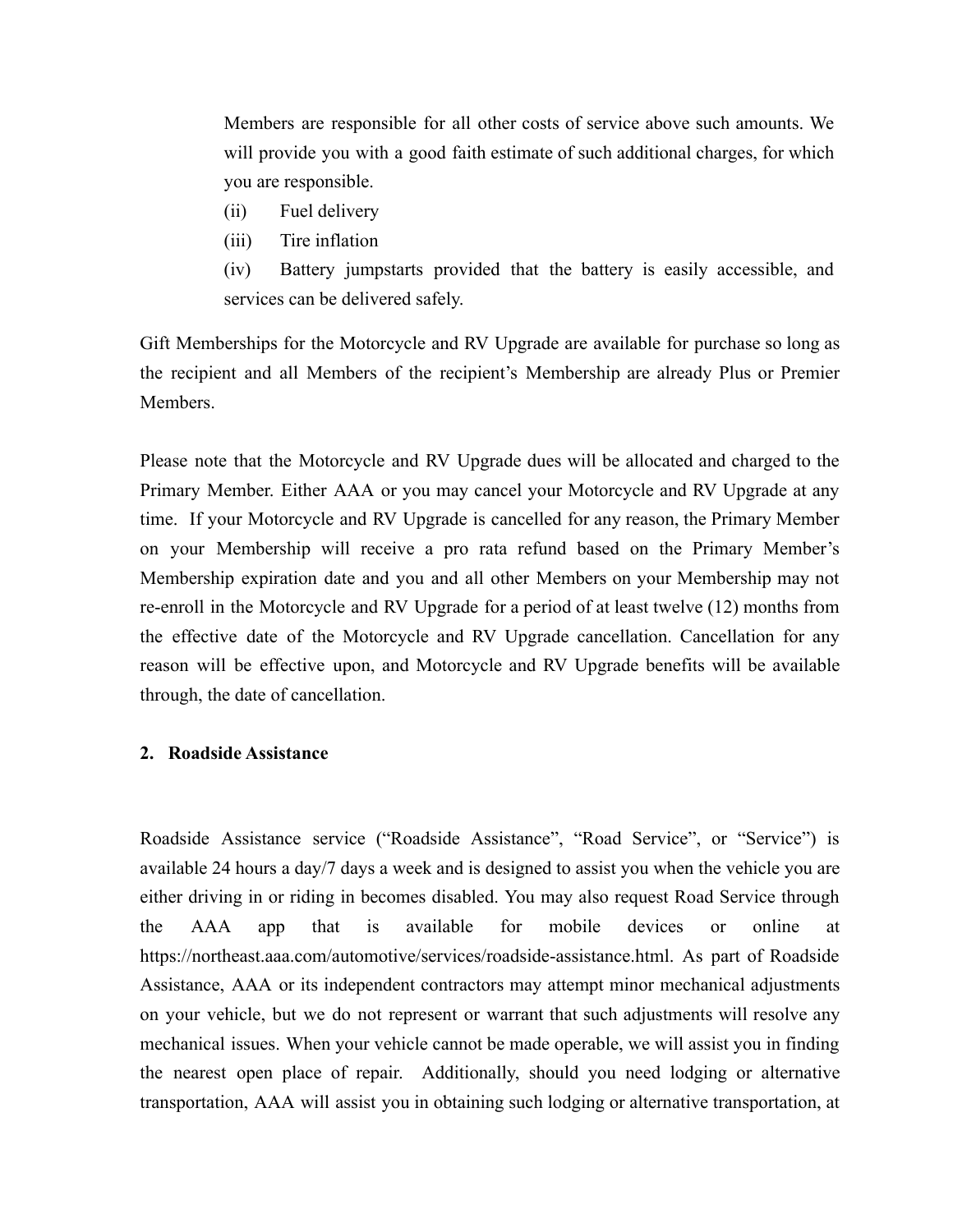Members are responsible for all other costs of service above such amounts. We will provide you with a good faith estimate of such additional charges, for which you are responsible.

- (ii) Fuel delivery
- (iii) Tire inflation

(iv) Battery jumpstarts provided that the battery is easily accessible, and services can be delivered safely.

Gift Memberships for the Motorcycle and RV Upgrade are available for purchase so long as the recipient and all Members of the recipient's Membership are already Plus or Premier Members.

Please note that the Motorcycle and RV Upgrade dues will be allocated and charged to the Primary Member. Either AAA or you may cancel your Motorcycle and RV Upgrade at any time. If your Motorcycle and RV Upgrade is cancelled for any reason, the Primary Member on your Membership will receive a pro rata refund based on the Primary Member's Membership expiration date and you and all other Members on your Membership may not re-enroll in the Motorcycle and RV Upgrade for a period of at least twelve (12) months from the effective date of the Motorcycle and RV Upgrade cancellation. Cancellation for any reason will be effective upon, and Motorcycle and RV Upgrade benefits will be available through, the date of cancellation.

### **2. Roadside Assistance**

Roadside Assistance service ("Roadside Assistance", "Road Service", or "Service") is available 24 hours a day/7 days a week and is designed to assist you when the vehicle you are either driving in or riding in becomes disabled. You may also request Road Service through the AAA app that is available for mobile devices or online at https://northeast.aaa.com/automotive/services/roadside-assistance.html. As part of Roadside Assistance, AAA or its independent contractors may attempt minor mechanical adjustments on your vehicle, but we do not represent or warrant that such adjustments will resolve any mechanical issues. When your vehicle cannot be made operable, we will assist you in finding the nearest open place of repair. Additionally, should you need lodging or alternative transportation, AAA will assist you in obtaining such lodging or alternative transportation, at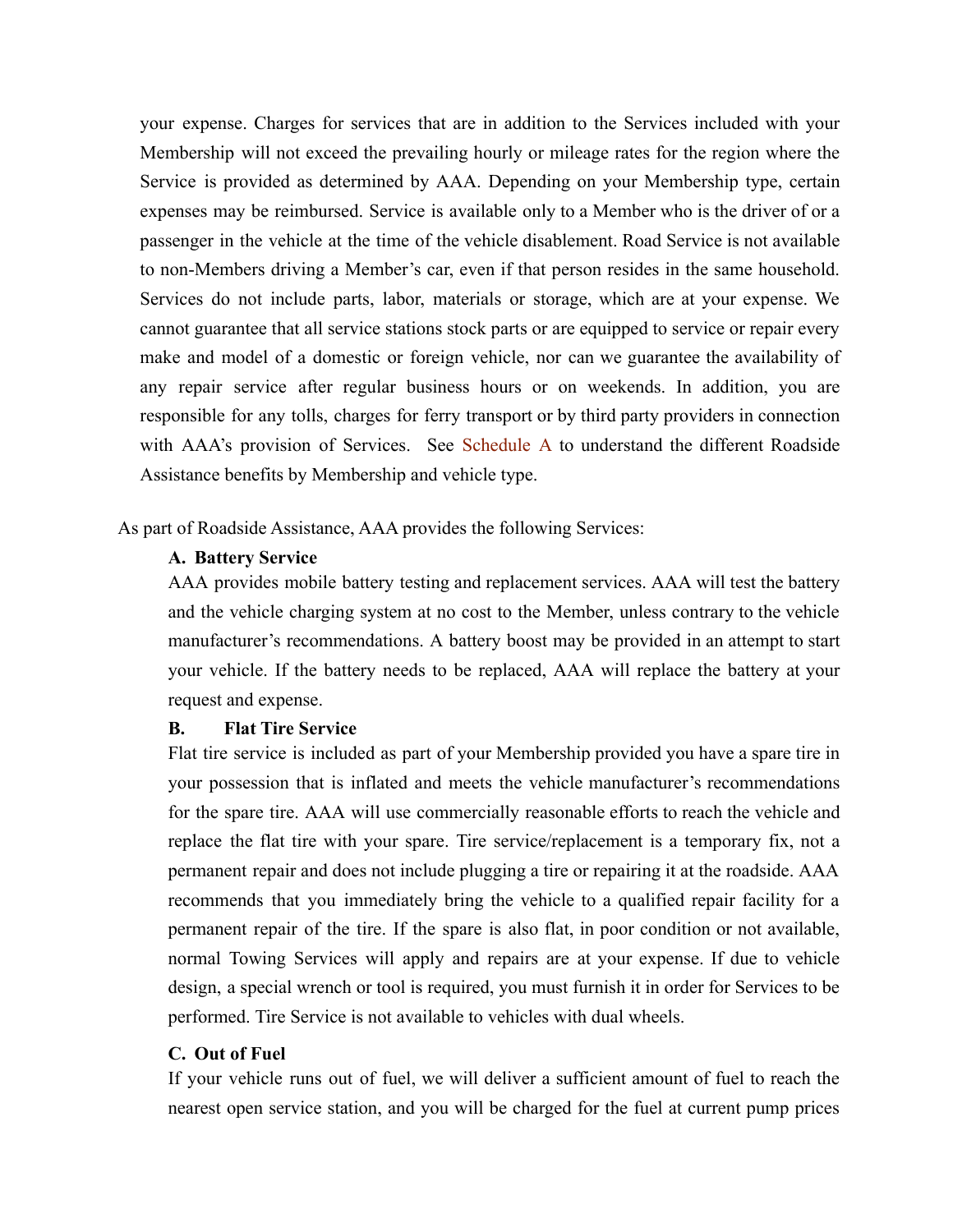your expense. Charges for services that are in addition to the Services included with your Membership will not exceed the prevailing hourly or mileage rates for the region where the Service is provided as determined by AAA. Depending on your Membership type, certain expenses may be reimbursed. Service is available only to a Member who is the driver of or a passenger in the vehicle at the time of the vehicle disablement. Road Service is not available to non-Members driving a Member's car, even if that person resides in the same household. Services do not include parts, labor, materials or storage, which are at your expense. We cannot guarantee that all service stations stock parts or are equipped to service or repair every make and model of a domestic or foreign vehicle, nor can we guarantee the availability of any repair service after regular business hours or on weekends. In addition, you are responsible for any tolls, charges for ferry transport or by third party providers in connection with AAA's provision of Services. See [Sc](http://www.southernnewengland.aaa.com/membership/comparison-chart)hedule A to understand the different Roadside Assistance benefits by Membership and vehicle type.

As part of Roadside Assistance, AAA provides the following Services:

## **A. Battery Service**

AAA provides mobile battery testing and replacement services. AAA will test the battery and the vehicle charging system at no cost to the Member, unless contrary to the vehicle manufacturer's recommendations. A battery boost may be provided in an attempt to start your vehicle. If the battery needs to be replaced, AAA will replace the battery at your request and expense.

### **B. Flat Tire Service**

Flat tire service is included as part of your Membership provided you have a spare tire in your possession that is inflated and meets the vehicle manufacturer's recommendations for the spare tire. AAA will use commercially reasonable efforts to reach the vehicle and replace the flat tire with your spare. Tire service/replacement is a temporary fix, not a permanent repair and does not include plugging a tire or repairing it at the roadside. AAA recommends that you immediately bring the vehicle to a qualified repair facility for a permanent repair of the tire. If the spare is also flat, in poor condition or not available, normal Towing Services will apply and repairs are at your expense. If due to vehicle design, a special wrench or tool is required, you must furnish it in order for Services to be performed. Tire Service is not available to vehicles with dual wheels.

## **C. Out of Fuel**

If your vehicle runs out of fuel, we will deliver a sufficient amount of fuel to reach the nearest open service station, and you will be charged for the fuel at current pump prices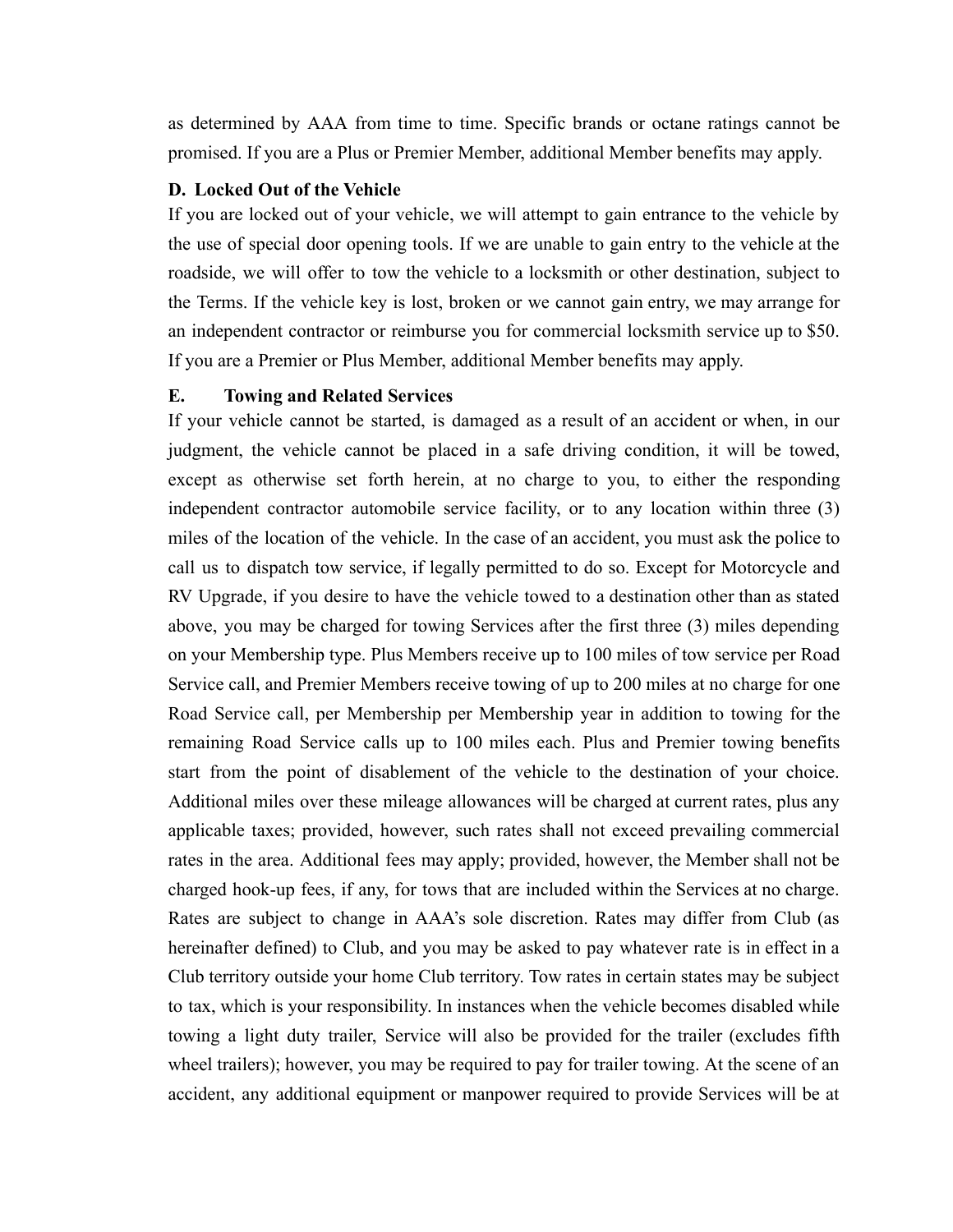as determined by AAA from time to time. Specific brands or octane ratings cannot be promised. If you are a Plus or Premier Member, additional Member benefits may apply.

### **D. Locked Out of the Vehicle**

If you are locked out of your vehicle, we will attempt to gain entrance to the vehicle by the use of special door opening tools. If we are unable to gain entry to the vehicle at the roadside, we will offer to tow the vehicle to a locksmith or other destination, subject to the Terms. If the vehicle key is lost, broken or we cannot gain entry, we may arrange for an independent contractor or reimburse you for commercial locksmith service up to \$50. If you are a Premier or Plus Member, additional Member benefits may apply.

#### **E. Towing and Related Services**

If your vehicle cannot be started, is damaged as a result of an accident or when, in our judgment, the vehicle cannot be placed in a safe driving condition, it will be towed, except as otherwise set forth herein, at no charge to you, to either the responding independent contractor automobile service facility, or to any location within three (3) miles of the location of the vehicle. In the case of an accident, you must ask the police to call us to dispatch tow service, if legally permitted to do so. Except for Motorcycle and RV Upgrade, if you desire to have the vehicle towed to a destination other than as stated above, you may be charged for towing Services after the first three (3) miles depending on your Membership type. Plus Members receive up to 100 miles of tow service per Road Service call, and Premier Members receive towing of up to 200 miles at no charge for one Road Service call, per Membership per Membership year in addition to towing for the remaining Road Service calls up to 100 miles each. Plus and Premier towing benefits start from the point of disablement of the vehicle to the destination of your choice. Additional miles over these mileage allowances will be charged at current rates, plus any applicable taxes; provided, however, such rates shall not exceed prevailing commercial rates in the area. Additional fees may apply; provided, however, the Member shall not be charged hook-up fees, if any, for tows that are included within the Services at no charge. Rates are subject to change in AAA's sole discretion. Rates may differ from Club (as hereinafter defined) to Club, and you may be asked to pay whatever rate is in effect in a Club territory outside your home Club territory. Tow rates in certain states may be subject to tax, which is your responsibility. In instances when the vehicle becomes disabled while towing a light duty trailer, Service will also be provided for the trailer (excludes fifth wheel trailers); however, you may be required to pay for trailer towing. At the scene of an accident, any additional equipment or manpower required to provide Services will be at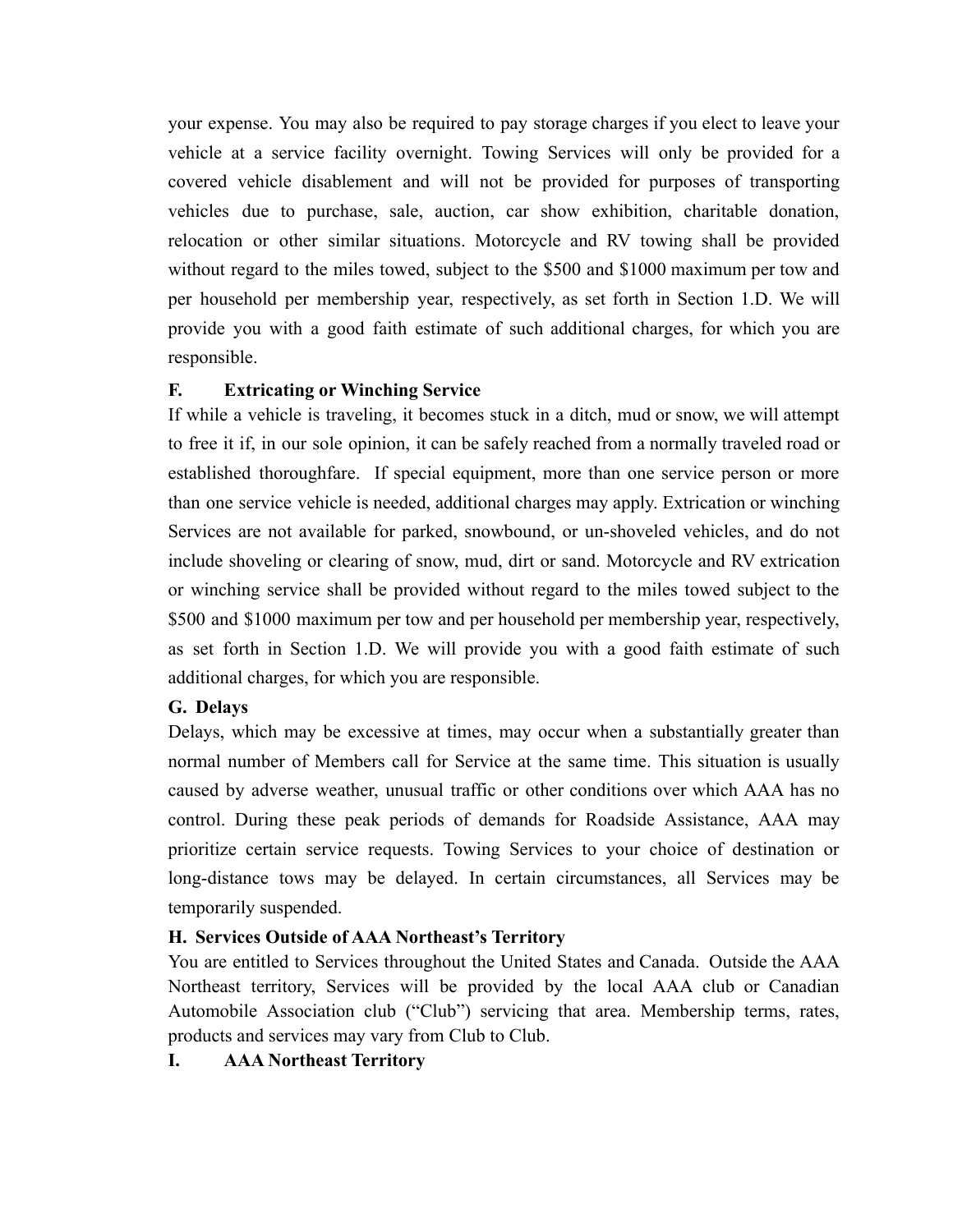your expense. You may also be required to pay storage charges if you elect to leave your vehicle at a service facility overnight. Towing Services will only be provided for a covered vehicle disablement and will not be provided for purposes of transporting vehicles due to purchase, sale, auction, car show exhibition, charitable donation, relocation or other similar situations. Motorcycle and RV towing shall be provided without regard to the miles towed, subject to the \$500 and \$1000 maximum per tow and per household per membership year, respectively, as set forth in Section 1.D. We will provide you with a good faith estimate of such additional charges, for which you are responsible.

## **F. Extricating or Winching Service**

If while a vehicle is traveling, it becomes stuck in a ditch, mud or snow, we will attempt to free it if, in our sole opinion, it can be safely reached from a normally traveled road or established thoroughfare. If special equipment, more than one service person or more than one service vehicle is needed, additional charges may apply. Extrication or winching Services are not available for parked, snowbound, or un-shoveled vehicles, and do not include shoveling or clearing of snow, mud, dirt or sand. Motorcycle and RV extrication or winching service shall be provided without regard to the miles towed subject to the \$500 and \$1000 maximum per tow and per household per membership year, respectively, as set forth in Section 1.D. We will provide you with a good faith estimate of such additional charges, for which you are responsible.

## **G. Delays**

Delays, which may be excessive at times, may occur when a substantially greater than normal number of Members call for Service at the same time. This situation is usually caused by adverse weather, unusual traffic or other conditions over which AAA has no control. During these peak periods of demands for Roadside Assistance, AAA may prioritize certain service requests. Towing Services to your choice of destination or long-distance tows may be delayed. In certain circumstances, all Services may be temporarily suspended.

## **H. Services Outside of AAA Northeast's Territory**

You are entitled to Services throughout the United States and Canada. Outside the AAA Northeast territory, Services will be provided by the local AAA club or Canadian Automobile Association club ("Club") servicing that area. Membership terms, rates, products and services may vary from Club to Club.

**I. AAA Northeast Territory**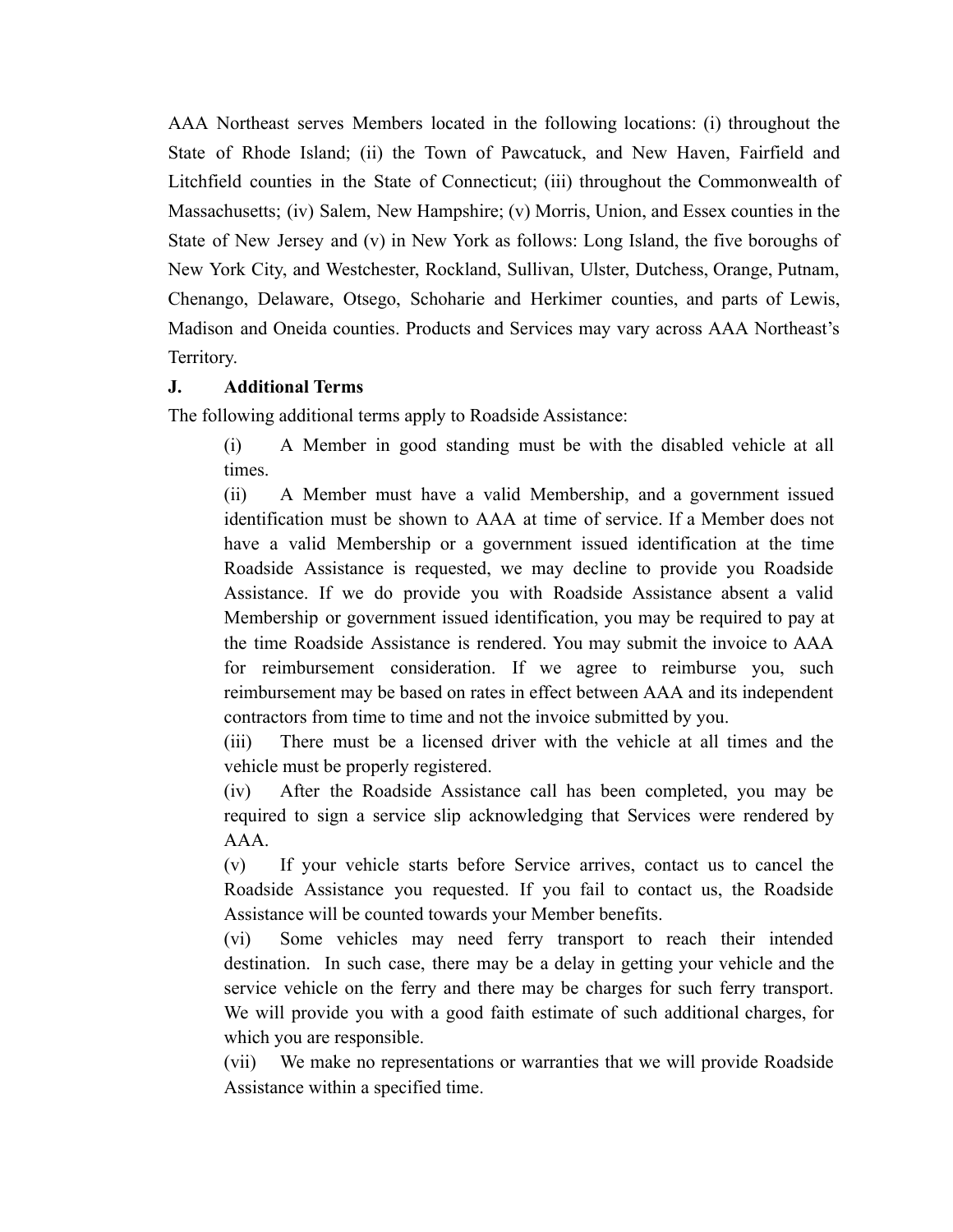AAA Northeast serves Members located in the following locations: (i) throughout the State of Rhode Island; (ii) the Town of Pawcatuck, and New Haven, Fairfield and Litchfield counties in the State of Connecticut; (iii) throughout the Commonwealth of Massachusetts; (iv) Salem, New Hampshire; (v) Morris, Union, and Essex counties in the State of New Jersey and (v) in New York as follows: Long Island, the five boroughs of New York City, and Westchester, Rockland, Sullivan, Ulster, Dutchess, Orange, Putnam, Chenango, Delaware, Otsego, Schoharie and Herkimer counties, and parts of Lewis, Madison and Oneida counties. Products and Services may vary across AAA Northeast's Territory.

### **J. Additional Terms**

The following additional terms apply to Roadside Assistance:

(i) A Member in good standing must be with the disabled vehicle at all times.

(ii) A Member must have a valid Membership, and a government issued identification must be shown to AAA at time of service. If a Member does not have a valid Membership or a government issued identification at the time Roadside Assistance is requested, we may decline to provide you Roadside Assistance. If we do provide you with Roadside Assistance absent a valid Membership or government issued identification, you may be required to pay at the time Roadside Assistance is rendered. You may submit the invoice to AAA for reimbursement consideration. If we agree to reimburse you, such reimbursement may be based on rates in effect between AAA and its independent contractors from time to time and not the invoice submitted by you.

(iii) There must be a licensed driver with the vehicle at all times and the vehicle must be properly registered.

(iv) After the Roadside Assistance call has been completed, you may be required to sign a service slip acknowledging that Services were rendered by AAA.

(v) If your vehicle starts before Service arrives, contact us to cancel the Roadside Assistance you requested. If you fail to contact us, the Roadside Assistance will be counted towards your Member benefits.

(vi) Some vehicles may need ferry transport to reach their intended destination. In such case, there may be a delay in getting your vehicle and the service vehicle on the ferry and there may be charges for such ferry transport. We will provide you with a good faith estimate of such additional charges, for which you are responsible.

(vii) We make no representations or warranties that we will provide Roadside Assistance within a specified time.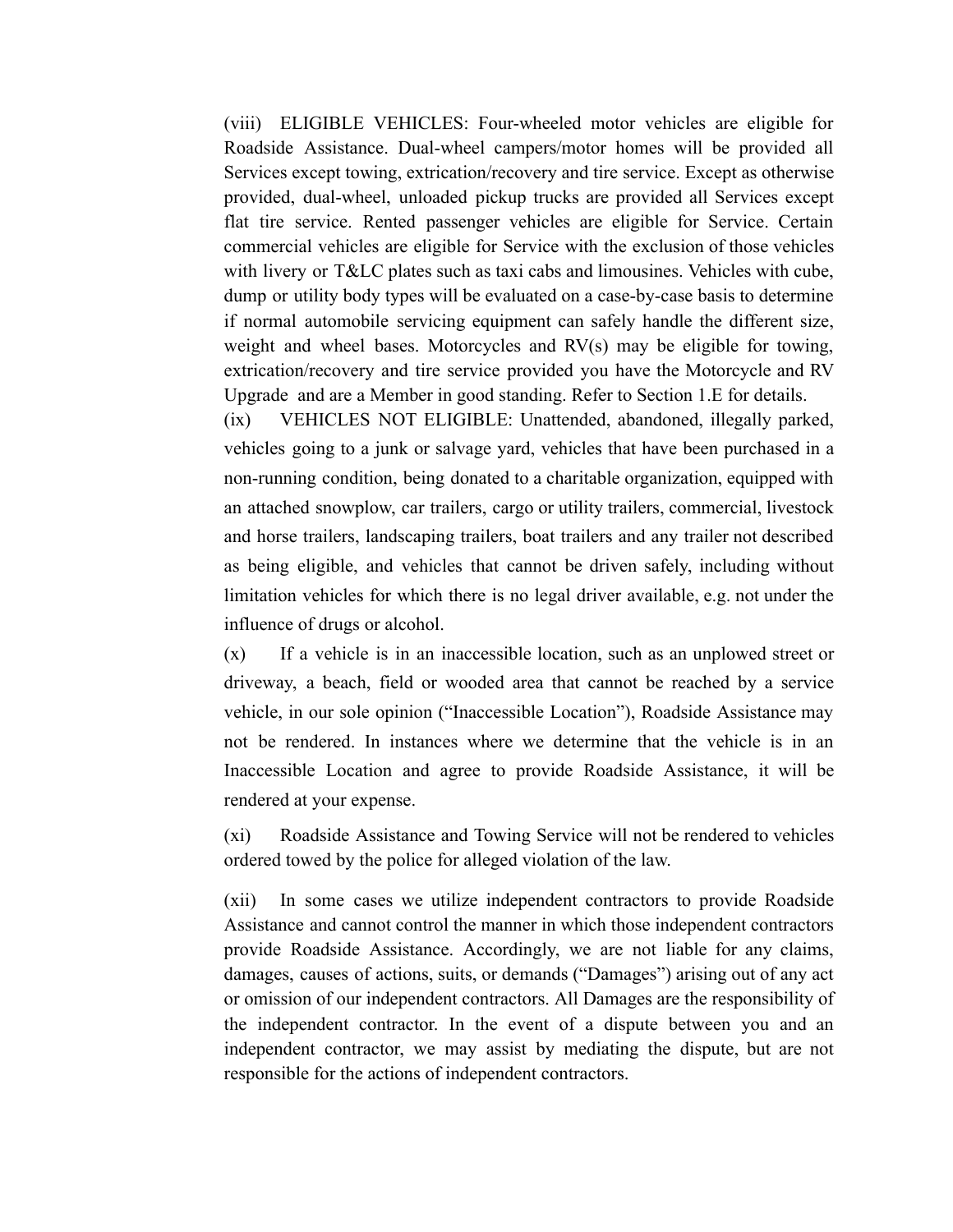(viii) ELIGIBLE VEHICLES: Four-wheeled motor vehicles are eligible for Roadside Assistance. Dual-wheel campers/motor homes will be provided all Services except towing, extrication/recovery and tire service. Except as otherwise provided, dual-wheel, unloaded pickup trucks are provided all Services except flat tire service. Rented passenger vehicles are eligible for Service. Certain commercial vehicles are eligible for Service with the exclusion of those vehicles with livery or T&LC plates such as taxi cabs and limousines. Vehicles with cube, dump or utility body types will be evaluated on a case-by-case basis to determine if normal automobile servicing equipment can safely handle the different size, weight and wheel bases. Motorcycles and RV(s) may be eligible for towing, extrication/recovery and tire service provided you have the Motorcycle and RV Upgrade and are a Member in good standing. Refer to Section 1.E for details.

(ix) VEHICLES NOT ELIGIBLE: Unattended, abandoned, illegally parked, vehicles going to a junk or salvage yard, vehicles that have been purchased in a non-running condition, being donated to a charitable organization, equipped with an attached snowplow, car trailers, cargo or utility trailers, commercial, livestock and horse trailers, landscaping trailers, boat trailers and any trailer not described as being eligible, and vehicles that cannot be driven safely, including without limitation vehicles for which there is no legal driver available, e.g. not under the influence of drugs or alcohol.

(x) If a vehicle is in an inaccessible location, such as an unplowed street or driveway, a beach, field or wooded area that cannot be reached by a service vehicle, in our sole opinion ("Inaccessible Location"), Roadside Assistance may not be rendered. In instances where we determine that the vehicle is in an Inaccessible Location and agree to provide Roadside Assistance, it will be rendered at your expense.

(xi) Roadside Assistance and Towing Service will not be rendered to vehicles ordered towed by the police for alleged violation of the law.

(xii) In some cases we utilize independent contractors to provide Roadside Assistance and cannot control the manner in which those independent contractors provide Roadside Assistance. Accordingly, we are not liable for any claims, damages, causes of actions, suits, or demands ("Damages") arising out of any act or omission of our independent contractors. All Damages are the responsibility of the independent contractor. In the event of a dispute between you and an independent contractor, we may assist by mediating the dispute, but are not responsible for the actions of independent contractors.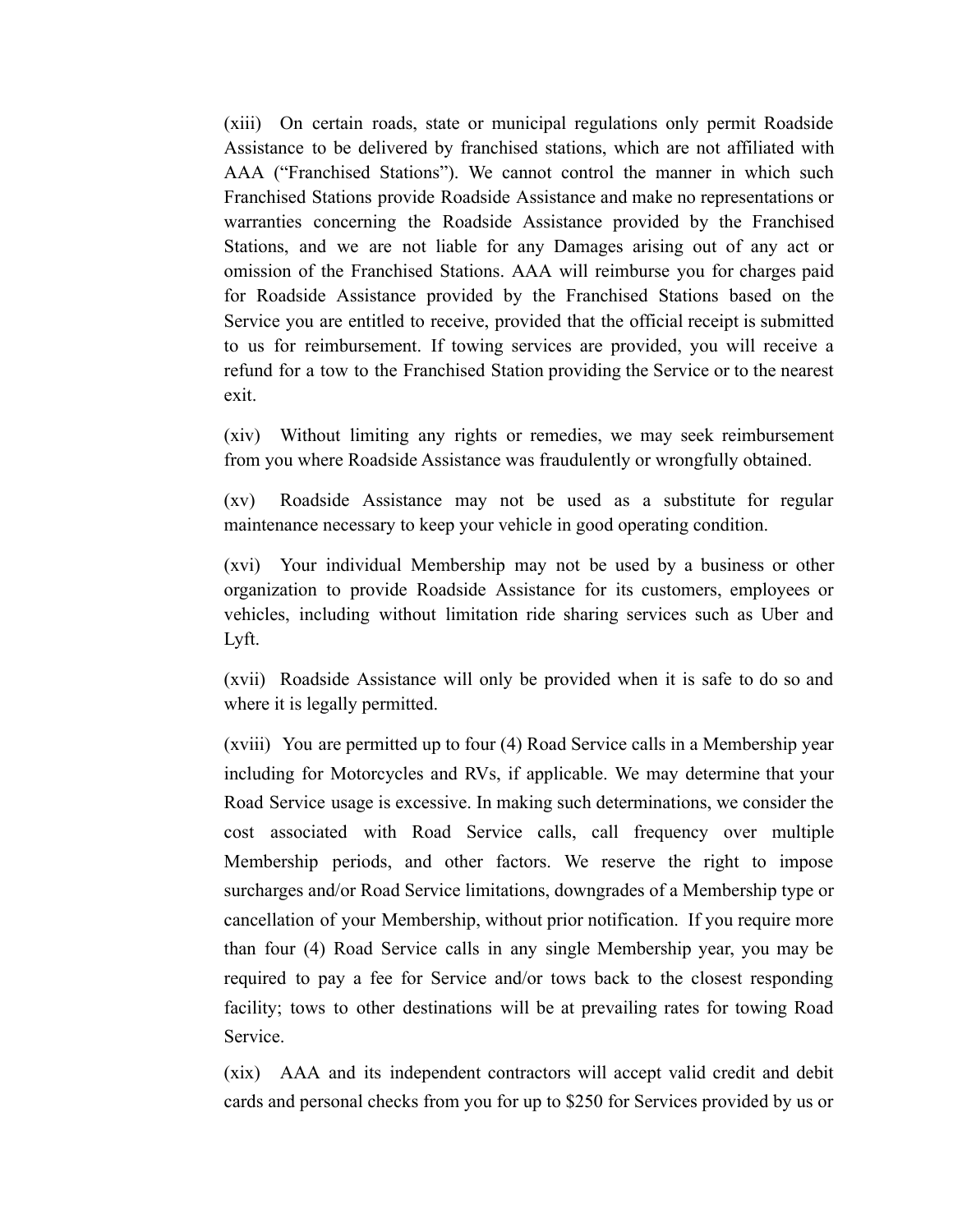(xiii) On certain roads, state or municipal regulations only permit Roadside Assistance to be delivered by franchised stations, which are not affiliated with AAA ("Franchised Stations"). We cannot control the manner in which such Franchised Stations provide Roadside Assistance and make no representations or warranties concerning the Roadside Assistance provided by the Franchised Stations, and we are not liable for any Damages arising out of any act or omission of the Franchised Stations. AAA will reimburse you for charges paid for Roadside Assistance provided by the Franchised Stations based on the Service you are entitled to receive, provided that the official receipt is submitted to us for reimbursement. If towing services are provided, you will receive a refund for a tow to the Franchised Station providing the Service or to the nearest exit.

(xiv) Without limiting any rights or remedies, we may seek reimbursement from you where Roadside Assistance was fraudulently or wrongfully obtained.

(xv) Roadside Assistance may not be used as a substitute for regular maintenance necessary to keep your vehicle in good operating condition.

(xvi) Your individual Membership may not be used by a business or other organization to provide Roadside Assistance for its customers, employees or vehicles, including without limitation ride sharing services such as Uber and Lyft.

(xvii) Roadside Assistance will only be provided when it is safe to do so and where it is legally permitted.

(xviii) You are permitted up to four (4) Road Service calls in a Membership year including for Motorcycles and RVs, if applicable. We may determine that your Road Service usage is excessive. In making such determinations, we consider the cost associated with Road Service calls, call frequency over multiple Membership periods, and other factors. We reserve the right to impose surcharges and/or Road Service limitations, downgrades of a Membership type or cancellation of your Membership, without prior notification. If you require more than four (4) Road Service calls in any single Membership year, you may be required to pay a fee for Service and/or tows back to the closest responding facility; tows to other destinations will be at prevailing rates for towing Road Service.

(xix) AAA and its independent contractors will accept valid credit and debit cards and personal checks from you for up to \$250 for Services provided by us or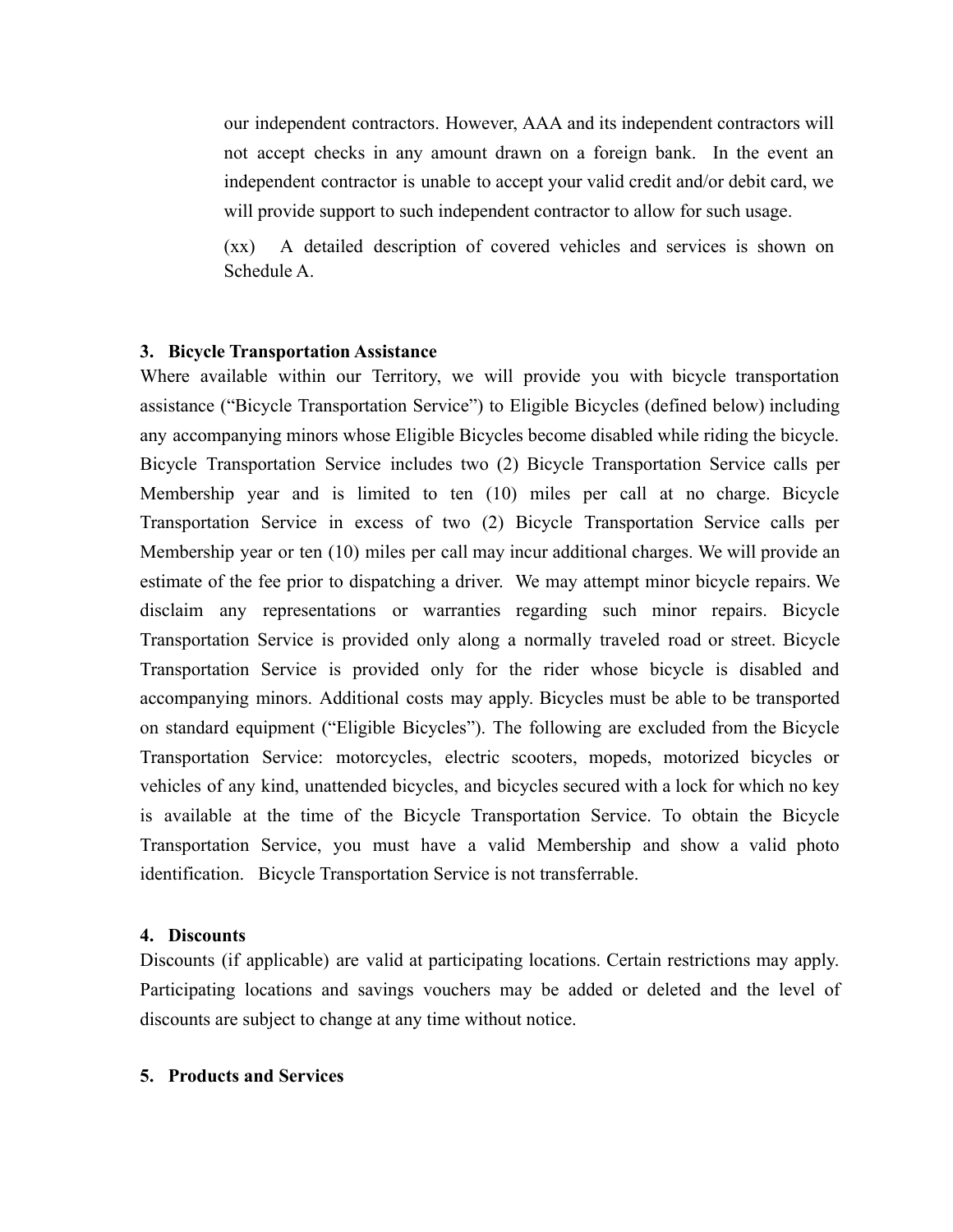our independent contractors. However, AAA and its independent contractors will not accept checks in any amount drawn on a foreign bank. In the event an independent contractor is unable to accept your valid credit and/or debit card, we will provide support to such independent contractor to allow for such usage.

(xx) A detailed description of covered vehicles and services is shown on Schedule A.

#### **3. Bicycle Transportation Assistance**

Where available within our Territory, we will provide you with bicycle transportation assistance ("Bicycle Transportation Service") to Eligible Bicycles (defined below) including any accompanying minors whose Eligible Bicycles become disabled while riding the bicycle. Bicycle Transportation Service includes two (2) Bicycle Transportation Service calls per Membership year and is limited to ten (10) miles per call at no charge. Bicycle Transportation Service in excess of two (2) Bicycle Transportation Service calls per Membership year or ten (10) miles per call may incur additional charges. We will provide an estimate of the fee prior to dispatching a driver. We may attempt minor bicycle repairs. We disclaim any representations or warranties regarding such minor repairs. Bicycle Transportation Service is provided only along a normally traveled road or street. Bicycle Transportation Service is provided only for the rider whose bicycle is disabled and accompanying minors. Additional costs may apply. Bicycles must be able to be transported on standard equipment ("Eligible Bicycles"). The following are excluded from the Bicycle Transportation Service: motorcycles, electric scooters, mopeds, motorized bicycles or vehicles of any kind, unattended bicycles, and bicycles secured with a lock for which no key is available at the time of the Bicycle Transportation Service. To obtain the Bicycle Transportation Service, you must have a valid Membership and show a valid photo identification. Bicycle Transportation Service is not transferrable.

#### **4. Discounts**

Discounts (if applicable) are valid at participating locations. Certain restrictions may apply. Participating locations and savings vouchers may be added or deleted and the level of discounts are subject to change at any time without notice.

#### **5. Products and Services**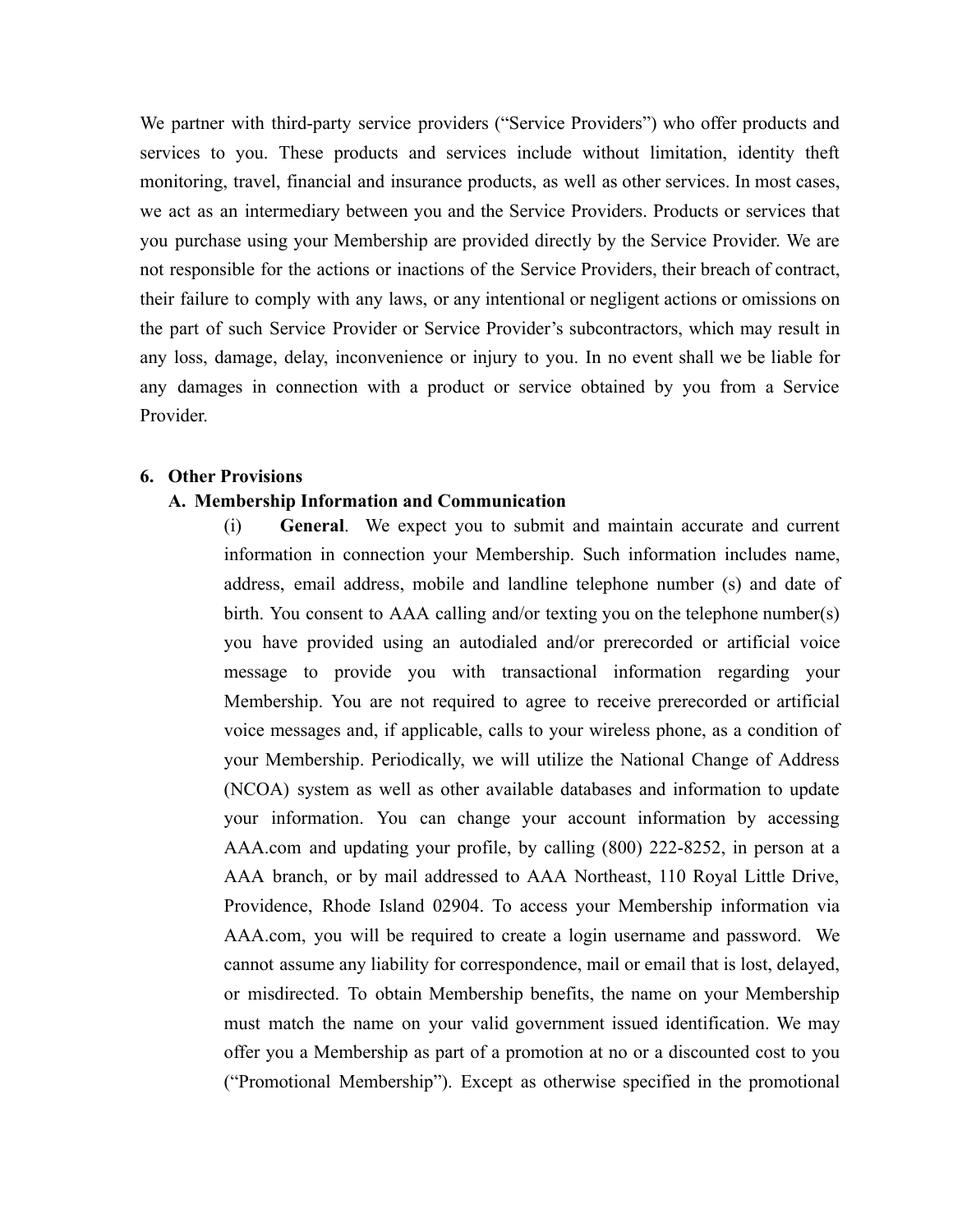We partner with third-party service providers ("Service Providers") who offer products and services to you. These products and services include without limitation, identity theft monitoring, travel, financial and insurance products, as well as other services. In most cases, we act as an intermediary between you and the Service Providers. Products or services that you purchase using your Membership are provided directly by the Service Provider. We are not responsible for the actions or inactions of the Service Providers, their breach of contract, their failure to comply with any laws, or any intentional or negligent actions or omissions on the part of such Service Provider or Service Provider's subcontractors, which may result in any loss, damage, delay, inconvenience or injury to you. In no event shall we be liable for any damages in connection with a product or service obtained by you from a Service Provider.

## **6. Other Provisions**

#### **A. Membership Information and Communication**

(i) **General**. We expect you to submit and maintain accurate and current information in connection your Membership. Such information includes name, address, email address, mobile and landline telephone number (s) and date of birth. You consent to AAA calling and/or texting you on the telephone number(s) you have provided using an autodialed and/or prerecorded or artificial voice message to provide you with transactional information regarding your Membership. You are not required to agree to receive prerecorded or artificial voice messages and, if applicable, calls to your wireless phone, as a condition of your Membership. Periodically, we will utilize the National Change of Address (NCOA) system as well as other available databases and information to update your information. You can change your account information by accessing AAA.com and updating your profile, by calling (800) 222-8252, in person at a AAA branch, or by mail addressed to AAA Northeast, 110 Royal Little Drive, Providence, Rhode Island 02904. To access your Membership information via AAA.com, you will be required to create a login username and password. We cannot assume any liability for correspondence, mail or email that is lost, delayed, or misdirected. To obtain Membership benefits, the name on your Membership must match the name on your valid government issued identification. We may offer you a Membership as part of a promotion at no or a discounted cost to you ("Promotional Membership"). Except as otherwise specified in the promotional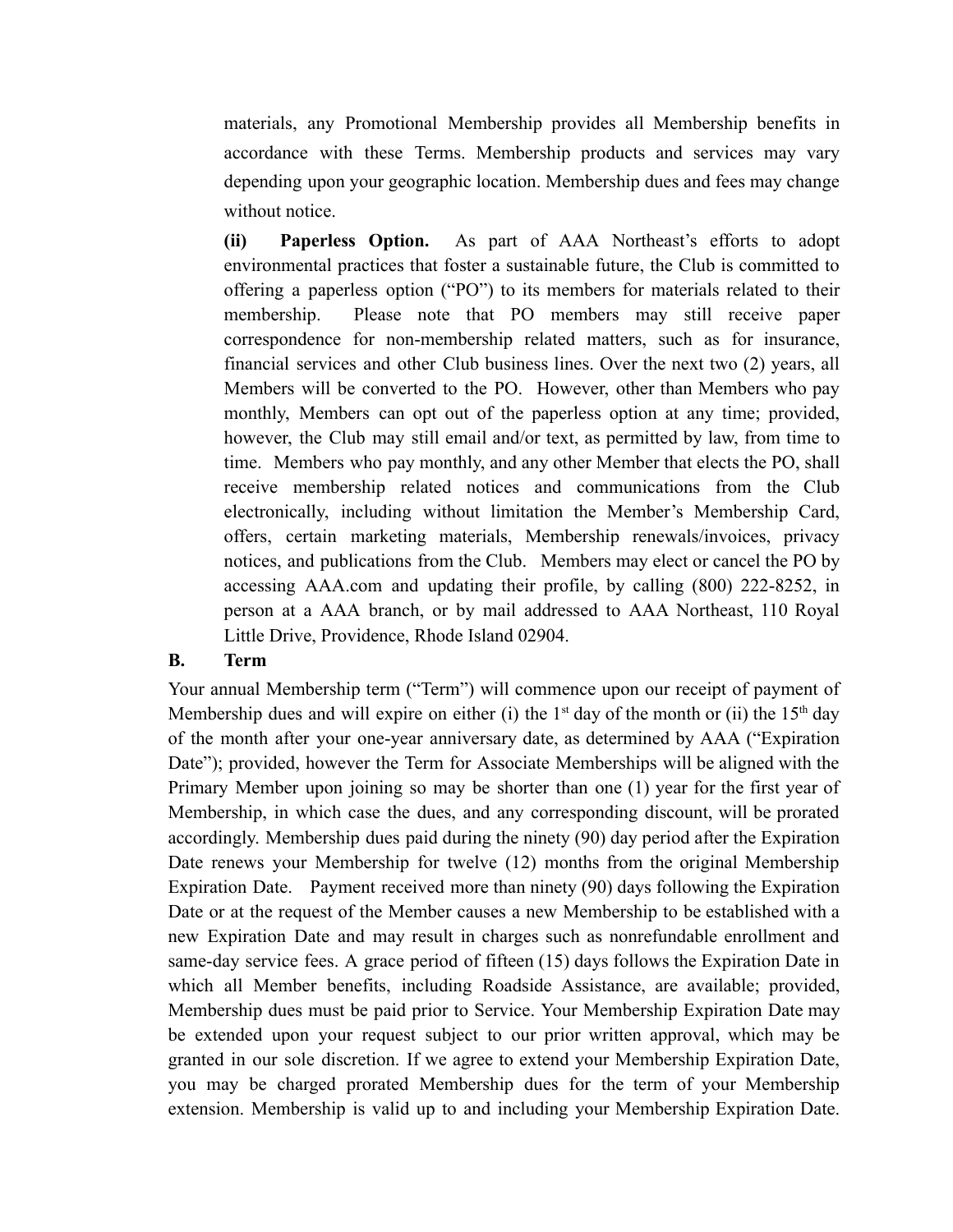materials, any Promotional Membership provides all Membership benefits in accordance with these Terms. Membership products and services may vary depending upon your geographic location. Membership dues and fees may change without notice.

**(ii) Paperless Option.** As part of AAA Northeast's efforts to adopt environmental practices that foster a sustainable future, the Club is committed to offering a paperless option ("PO") to its members for materials related to their membership. Please note that PO members may still receive paper correspondence for non-membership related matters, such as for insurance, financial services and other Club business lines. Over the next two (2) years, all Members will be converted to the PO. However, other than Members who pay monthly, Members can opt out of the paperless option at any time; provided, however, the Club may still email and/or text, as permitted by law, from time to time. Members who pay monthly, and any other Member that elects the PO, shall receive membership related notices and communications from the Club electronically, including without limitation the Member's Membership Card, offers, certain marketing materials, Membership renewals/invoices, privacy notices, and publications from the Club. Members may elect or cancel the PO by accessing AAA.com and updating their profile, by calling (800) 222-8252, in person at a AAA branch, or by mail addressed to AAA Northeast, 110 Royal Little Drive, Providence, Rhode Island 02904.

### **B. Term**

Your annual Membership term ("Term") will commence upon our receipt of payment of Membership dues and will expire on either (i) the  $1<sup>st</sup>$  day of the month or (ii) the  $15<sup>th</sup>$  day of the month after your one-year anniversary date, as determined by AAA ("Expiration Date"); provided, however the Term for Associate Memberships will be aligned with the Primary Member upon joining so may be shorter than one (1) year for the first year of Membership, in which case the dues, and any corresponding discount, will be prorated accordingly. Membership dues paid during the ninety (90) day period after the Expiration Date renews your Membership for twelve (12) months from the original Membership Expiration Date. Payment received more than ninety (90) days following the Expiration Date or at the request of the Member causes a new Membership to be established with a new Expiration Date and may result in charges such as nonrefundable enrollment and same-day service fees. A grace period of fifteen (15) days follows the Expiration Date in which all Member benefits, including Roadside Assistance, are available; provided, Membership dues must be paid prior to Service. Your Membership Expiration Date may be extended upon your request subject to our prior written approval, which may be granted in our sole discretion. If we agree to extend your Membership Expiration Date, you may be charged prorated Membership dues for the term of your Membership extension. Membership is valid up to and including your Membership Expiration Date.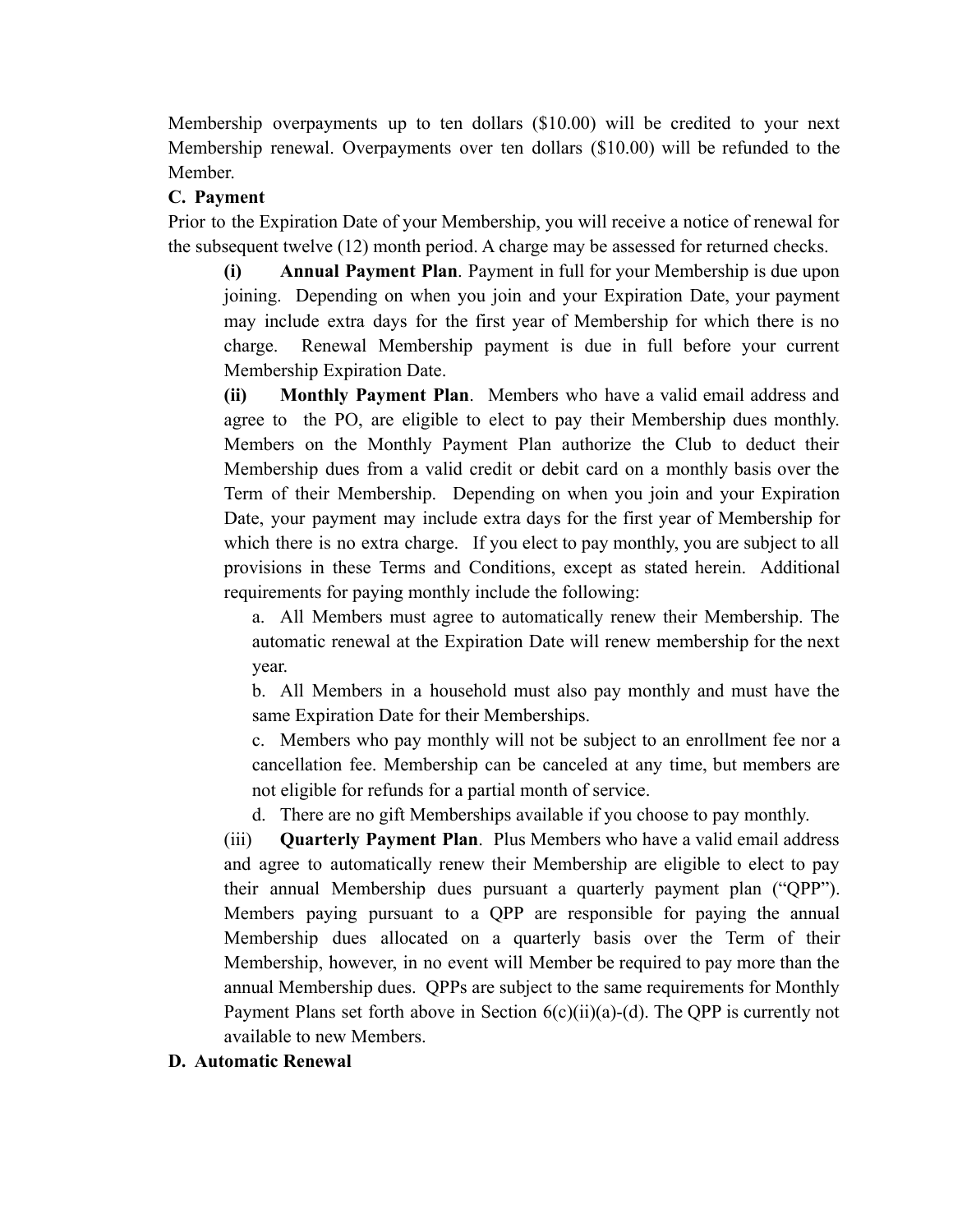Membership overpayments up to ten dollars (\$10.00) will be credited to your next Membership renewal. Overpayments over ten dollars (\$10.00) will be refunded to the Member.

## **C. Payment**

Prior to the Expiration Date of your Membership, you will receive a notice of renewal for the subsequent twelve (12) month period. A charge may be assessed for returned checks.

**(i) Annual Payment Plan**. Payment in full for your Membership is due upon joining. Depending on when you join and your Expiration Date, your payment may include extra days for the first year of Membership for which there is no charge. Renewal Membership payment is due in full before your current Membership Expiration Date.

**(ii) Monthly Payment Plan**. Members who have a valid email address and agree to the PO, are eligible to elect to pay their Membership dues monthly. Members on the Monthly Payment Plan authorize the Club to deduct their Membership dues from a valid credit or debit card on a monthly basis over the Term of their Membership. Depending on when you join and your Expiration Date, your payment may include extra days for the first year of Membership for which there is no extra charge. If you elect to pay monthly, you are subject to all provisions in these Terms and Conditions, except as stated herein. Additional requirements for paying monthly include the following:

a. All Members must agree to automatically renew their Membership. The automatic renewal at the Expiration Date will renew membership for the next year.

b. All Members in a household must also pay monthly and must have the same Expiration Date for their Memberships.

c. Members who pay monthly will not be subject to an enrollment fee nor a cancellation fee. Membership can be canceled at any time, but members are not eligible for refunds for a partial month of service.

d. There are no gift Memberships available if you choose to pay monthly.

(iii) **Quarterly Payment Plan**. Plus Members who have a valid email address and agree to automatically renew their Membership are eligible to elect to pay their annual Membership dues pursuant a quarterly payment plan ("QPP"). Members paying pursuant to a QPP are responsible for paying the annual Membership dues allocated on a quarterly basis over the Term of their Membership, however, in no event will Member be required to pay more than the annual Membership dues. QPPs are subject to the same requirements for Monthly Payment Plans set forth above in Section  $6(c)(ii)(a)-(d)$ . The QPP is currently not available to new Members.

### **D. Automatic Renewal**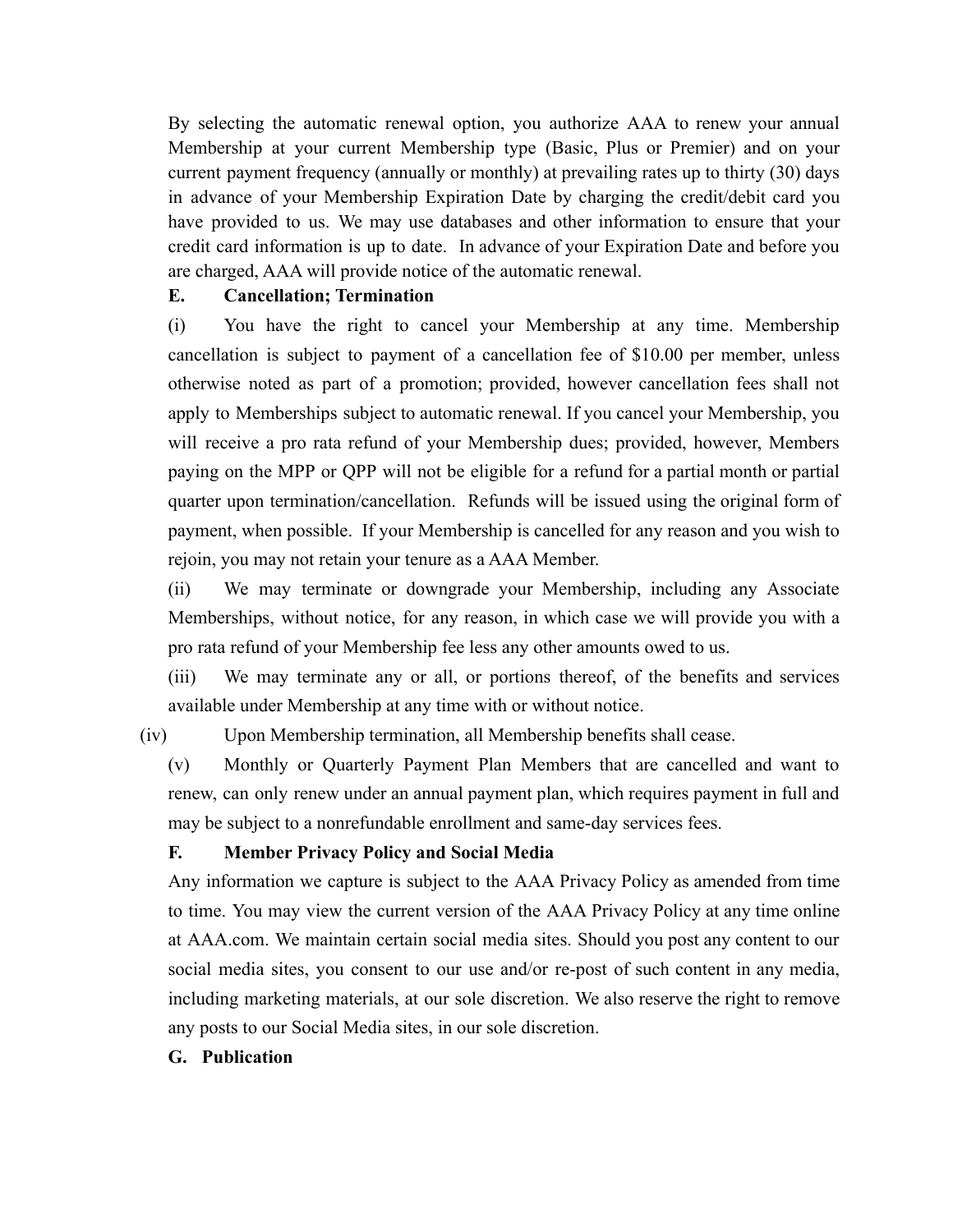By selecting the automatic renewal option, you authorize AAA to renew your annual Membership at your current Membership type (Basic, Plus or Premier) and on your current payment frequency (annually or monthly) at prevailing rates up to thirty (30) days in advance of your Membership Expiration Date by charging the credit/debit card you have provided to us. We may use databases and other information to ensure that your credit card information is up to date. In advance of your Expiration Date and before you are charged, AAA will provide notice of the automatic renewal.

### **E. Cancellation; Termination**

(i) You have the right to cancel your Membership at any time. Membership cancellation is subject to payment of a cancellation fee of \$10.00 per member, unless otherwise noted as part of a promotion; provided, however cancellation fees shall not apply to Memberships subject to automatic renewal. If you cancel your Membership, you will receive a pro rata refund of your Membership dues; provided, however, Members paying on the MPP or QPP will not be eligible for a refund for a partial month or partial quarter upon termination/cancellation. Refunds will be issued using the original form of payment, when possible. If your Membership is cancelled for any reason and you wish to rejoin, you may not retain your tenure as a AAA Member.

(ii) We may terminate or downgrade your Membership, including any Associate Memberships, without notice, for any reason, in which case we will provide you with a pro rata refund of your Membership fee less any other amounts owed to us.

(iii) We may terminate any or all, or portions thereof, of the benefits and services available under Membership at any time with or without notice.

(iv) Upon Membership termination, all Membership benefits shall cease.

(v) Monthly or Quarterly Payment Plan Members that are cancelled and want to renew, can only renew under an annual payment plan, which requires payment in full and may be subject to a nonrefundable enrollment and same-day services fees.

## **F. Member Privacy Policy and Social Media**

Any information we capture is subject to the AAA Privacy Policy as amended from time to time. You may view the current version of the AAA Privacy Policy at any time online at AAA.com. We maintain certain social media sites. Should you post any content to our social media sites, you consent to our use and/or re-post of such content in any media, including marketing materials, at our sole discretion. We also reserve the right to remove any posts to our Social Media sites, in our sole discretion.

### **G. Publication**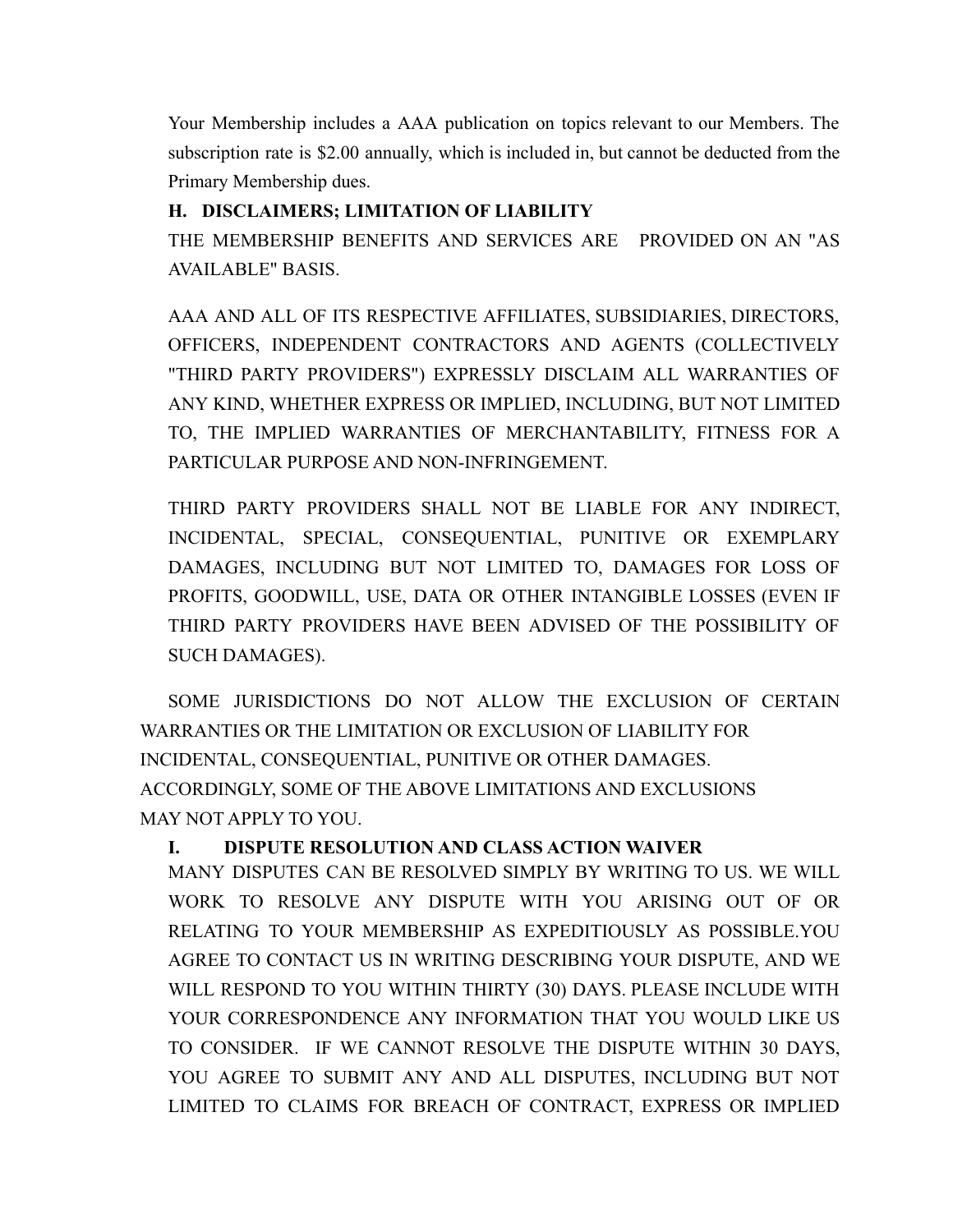Your Membership includes a AAA publication on topics relevant to our Members. The subscription rate is \$2.00 annually, which is included in, but cannot be deducted from the Primary Membership dues.

# **H. DISCLAIMERS; LIMITATION OF LIABILITY**

THE MEMBERSHIP BENEFITS AND SERVICES ARE PROVIDED ON AN "AS AVAILABLE" BASIS.

AAA AND ALL OF ITS RESPECTIVE AFFILIATES, SUBSIDIARIES, DIRECTORS, OFFICERS, INDEPENDENT CONTRACTORS AND AGENTS (COLLECTIVELY "THIRD PARTY PROVIDERS") EXPRESSLY DISCLAIM ALL WARRANTIES OF ANY KIND, WHETHER EXPRESS OR IMPLIED, INCLUDING, BUT NOT LIMITED TO, THE IMPLIED WARRANTIES OF MERCHANTABILITY, FITNESS FOR A PARTICULAR PURPOSE AND NON-INFRINGEMENT.

THIRD PARTY PROVIDERS SHALL NOT BE LIABLE FOR ANY INDIRECT, INCIDENTAL, SPECIAL, CONSEQUENTIAL, PUNITIVE OR EXEMPLARY DAMAGES, INCLUDING BUT NOT LIMITED TO, DAMAGES FOR LOSS OF PROFITS, GOODWILL, USE, DATA OR OTHER INTANGIBLE LOSSES (EVEN IF THIRD PARTY PROVIDERS HAVE BEEN ADVISED OF THE POSSIBILITY OF SUCH DAMAGES).

SOME JURISDICTIONS DO NOT ALLOW THE EXCLUSION OF CERTAIN WARRANTIES OR THE LIMITATION OR EXCLUSION OF LIABILITY FOR INCIDENTAL, CONSEQUENTIAL, PUNITIVE OR OTHER DAMAGES. ACCORDINGLY, SOME OF THE ABOVE LIMITATIONS AND EXCLUSIONS MAY NOT APPLY TO YOU.

# **I. DISPUTE RESOLUTION AND CLASS ACTION WAIVER**

MANY DISPUTES CAN BE RESOLVED SIMPLY BY WRITING TO US. WE WILL WORK TO RESOLVE ANY DISPUTE WITH YOU ARISING OUT OF OR RELATING TO YOUR MEMBERSHIP AS EXPEDITIOUSLY AS POSSIBLE.YOU AGREE TO CONTACT US IN WRITING DESCRIBING YOUR DISPUTE, AND WE WILL RESPOND TO YOU WITHIN THIRTY (30) DAYS. PLEASE INCLUDE WITH YOUR CORRESPONDENCE ANY INFORMATION THAT YOU WOULD LIKE US TO CONSIDER. IF WE CANNOT RESOLVE THE DISPUTE WITHIN 30 DAYS, YOU AGREE TO SUBMIT ANY AND ALL DISPUTES, INCLUDING BUT NOT LIMITED TO CLAIMS FOR BREACH OF CONTRACT, EXPRESS OR IMPLIED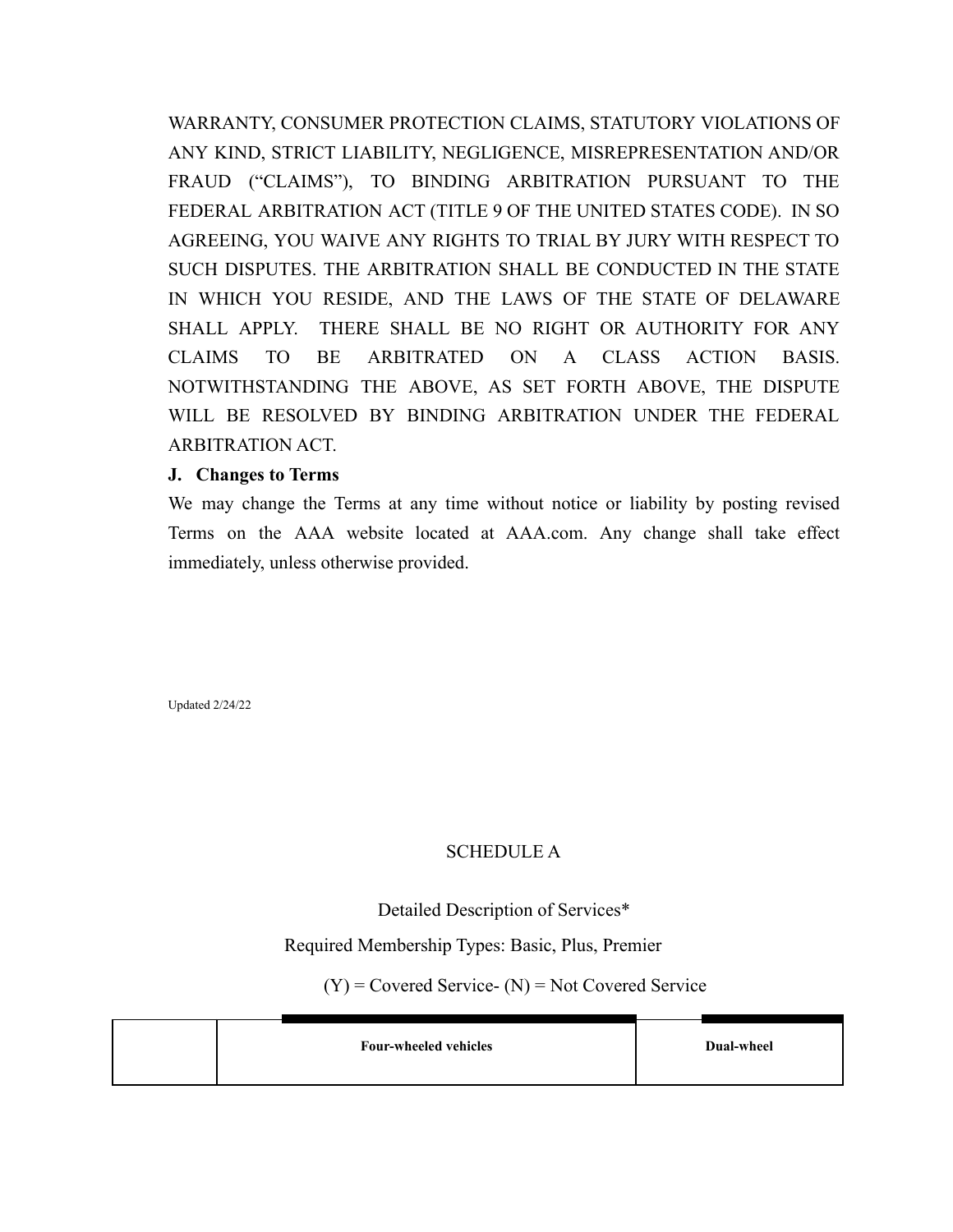WARRANTY, CONSUMER PROTECTION CLAIMS, STATUTORY VIOLATIONS OF ANY KIND, STRICT LIABILITY, NEGLIGENCE, MISREPRESENTATION AND/OR FRAUD ("CLAIMS"), TO BINDING ARBITRATION PURSUANT TO THE FEDERAL ARBITRATION ACT (TITLE 9 OF THE UNITED STATES CODE). IN SO AGREEING, YOU WAIVE ANY RIGHTS TO TRIAL BY JURY WITH RESPECT TO SUCH DISPUTES. THE ARBITRATION SHALL BE CONDUCTED IN THE STATE IN WHICH YOU RESIDE, AND THE LAWS OF THE STATE OF DELAWARE SHALL APPLY. THERE SHALL BE NO RIGHT OR AUTHORITY FOR ANY CLAIMS TO BE ARBITRATED ON A CLASS ACTION BASIS. NOTWITHSTANDING THE ABOVE, AS SET FORTH ABOVE, THE DISPUTE WILL BE RESOLVED BY BINDING ARBITRATION UNDER THE FEDERAL ARBITRATION ACT.

## **J. Changes to Terms**

We may change the Terms at any time without notice or liability by posting revised Terms on the AAA website located at AAA.com. Any change shall take effect immediately, unless otherwise provided.

Updated 2/24/22

## SCHEDULE A

## Detailed Description of Services\*

Required Membership Types: Basic, Plus, Premier

 $(Y)$  = Covered Service-  $(N)$  = Not Covered Service

| <b>Four-wheeled vehicles</b> | Dual-wheel |
|------------------------------|------------|
|                              |            |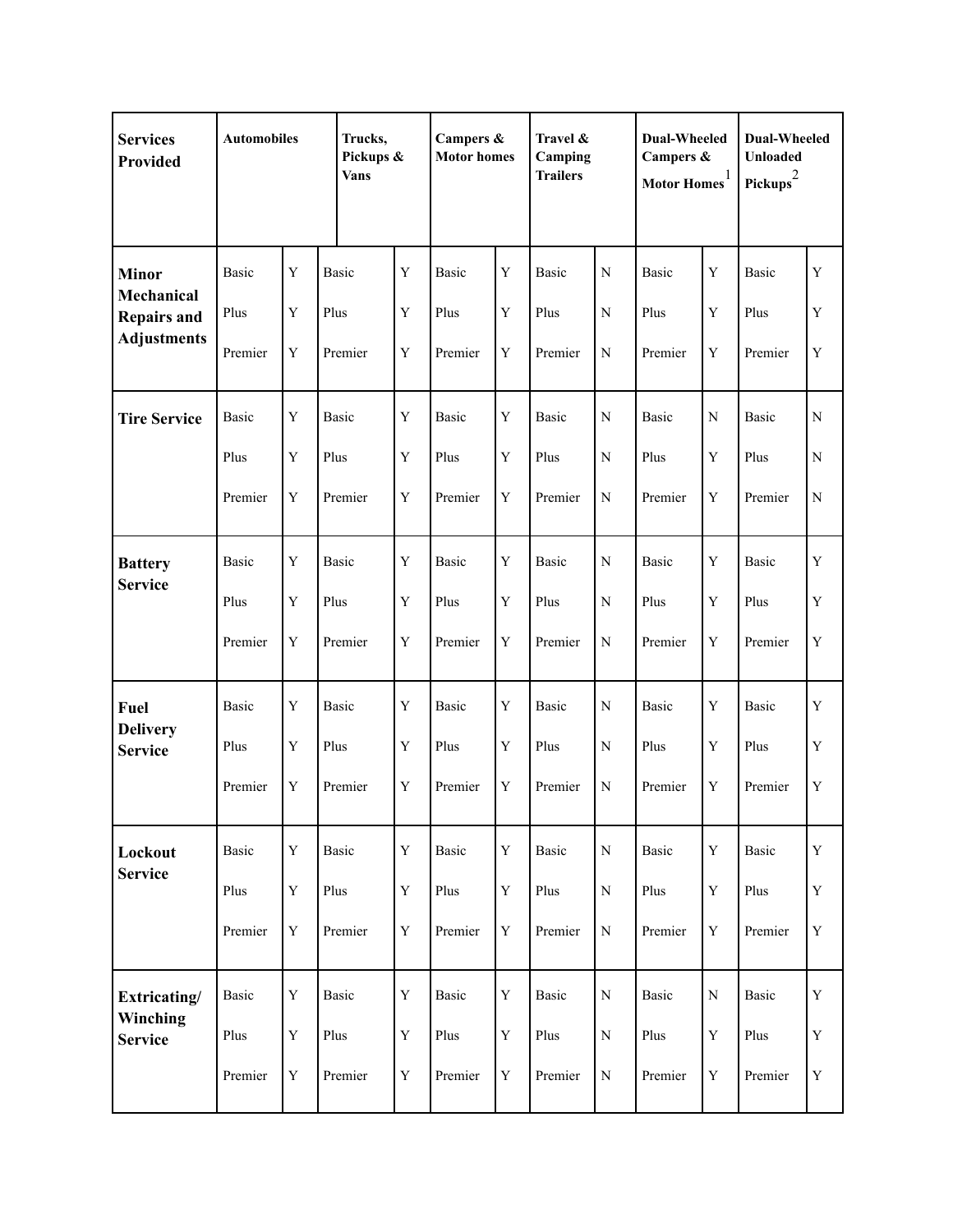| <b>Services</b><br>Provided                                            | <b>Automobiles</b>              |                                 | Trucks,<br><b>Vans</b>          | Pickups &                                 |                                 | Campers &<br><b>Motor homes</b>           |                                 | Travel &<br>Camping<br><b>Trailers</b>  |                                 | <b>Dual-Wheeled</b><br>Campers &<br>Motor $\mathbf{Homes}^1$ |                                 | <b>Dual-Wheeled</b><br>Unloaded<br>Pickups $^{2}$ |  |
|------------------------------------------------------------------------|---------------------------------|---------------------------------|---------------------------------|-------------------------------------------|---------------------------------|-------------------------------------------|---------------------------------|-----------------------------------------|---------------------------------|--------------------------------------------------------------|---------------------------------|---------------------------------------------------|--|
| <b>Minor</b><br>Mechanical<br><b>Repairs and</b><br><b>Adjustments</b> | Basic<br>Plus<br>Premier        | Y<br>Y<br>Y                     | <b>Basic</b><br>Plus<br>Premier | $\mathbf Y$<br>$\mathbf Y$<br>$\mathbf Y$ | Basic<br>Plus<br>Premier        | Y<br>Y<br>$\mathbf Y$                     | Basic<br>Plus<br>Premier        | N<br>N<br>${\bf N}$                     | <b>Basic</b><br>Plus<br>Premier | Y<br>Y<br>Y                                                  | <b>Basic</b><br>Plus<br>Premier | Y<br>$\mathbf Y$<br>$\mathbf Y$                   |  |
| <b>Tire Service</b>                                                    | Basic<br>Plus<br>Premier        | Y<br>Y<br>Y                     | Basic<br>Plus<br>Premier        | Y<br>$\mathbf Y$<br>$\mathbf Y$           | <b>Basic</b><br>Plus<br>Premier | Y<br>Y<br>$\mathbf Y$                     | <b>Basic</b><br>Plus<br>Premier | N<br>$\mathbf N$<br>$\mathbf N$         | Basic<br>Plus<br>Premier        | $\mathbf N$<br>Y<br>Y                                        | Basic<br>Plus<br>Premier        | ${\bf N}$<br>${\bf N}$<br>${\bf N}$               |  |
| <b>Battery</b><br><b>Service</b>                                       | <b>Basic</b><br>Plus<br>Premier | Y<br>Y<br>$\mathbf Y$           | <b>Basic</b><br>Plus<br>Premier | Y<br>$\mathbf Y$<br>$\mathbf Y$           | Basic<br>Plus<br>Premier        | Y<br>Y<br>$\mathbf Y$                     | Basic<br>Plus<br>Premier        | $\mathbf N$<br>$\mathbf N$<br>${\bf N}$ | <b>Basic</b><br>Plus<br>Premier | Y<br>Y<br>$\mathbf Y$                                        | <b>Basic</b><br>Plus<br>Premier | Y<br>$\mathbf Y$<br>$\mathbf Y$                   |  |
| <b>Fuel</b><br><b>Delivery</b><br><b>Service</b>                       | <b>Basic</b><br>Plus<br>Premier | Y<br>Y<br>Y                     | Basic<br>Plus<br>Premier        | Y<br>$\mathbf Y$<br>$\mathbf Y$           | Basic<br>Plus<br>Premier        | Y<br>Y<br>$\mathbf Y$                     | <b>Basic</b><br>Plus<br>Premier | N<br>$\mathbf N$<br>$\mathbf N$         | Basic<br>Plus<br>Premier        | Y<br>Y<br>Y                                                  | Basic<br>Plus<br>Premier        | Y<br>$\mathbf Y$<br>$\mathbf Y$                   |  |
| Lockout<br><b>Service</b>                                              | Basic<br>Plus<br>Premier        | $\mathbf Y$<br>Y<br>$\mathbf Y$ | <b>Basic</b><br>Plus<br>Premier | $\mathbf Y$<br>$\mathbf Y$<br>$\mathbf Y$ | Basic<br>Plus<br>Premier        | $\mathbf Y$<br>$\mathbf Y$<br>$\mathbf Y$ | <b>Basic</b><br>Plus<br>Premier | ${\bf N}$<br>${\bf N}$<br>${\bf N}$     | Basic<br>Plus<br>Premier        | Y<br>$\mathbf Y$<br>$\mathbf Y$                              | <b>Basic</b><br>Plus<br>Premier | Y<br>$\mathbf Y$<br>$\mathbf Y$                   |  |
| Extricating/<br>Winching<br><b>Service</b>                             | <b>Basic</b><br>Plus<br>Premier | Y<br>Y<br>$\mathbf Y$           | Basic<br>Plus<br>Premier        | $\mathbf Y$<br>$\mathbf Y$<br>$\mathbf Y$ | Basic<br>Plus<br>Premier        | $\mathbf Y$<br>$\mathbf Y$<br>$\mathbf Y$ | Basic<br>Plus<br>Premier        | ${\bf N}$<br>${\bf N}$<br>${\bf N}$     | <b>Basic</b><br>Plus<br>Premier | ${\bf N}$<br>Y<br>$\mathbf Y$                                | Basic<br>Plus<br>Premier        | $\mathbf Y$<br>$\mathbf Y$<br>$\mathbf Y$         |  |